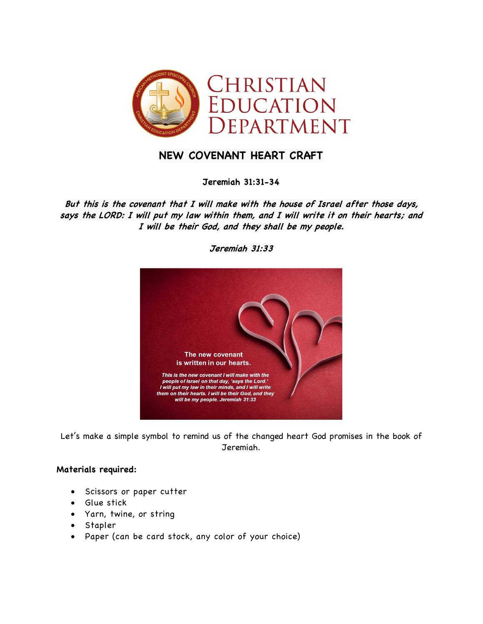

## **NEW COVENANT HEART CRAFT**

**Jeremiah 31:31-34**

**But this is the covenant that I will make with the house of Israel after those days, says the LORD: I will put my law within them, and I will write it on their hearts; and I will be their God, and they shall be my people.**



**Jeremiah 31:33**

Let's make a simple symbol to remind us of the changed heart God promises in the book of Jeremiah.

## **Materials required:**

- Scissors or paper cutter
- Glue stick
- Yarn, twine, or string
- Stapler
- Paper (can be card stock, any color of your choice)